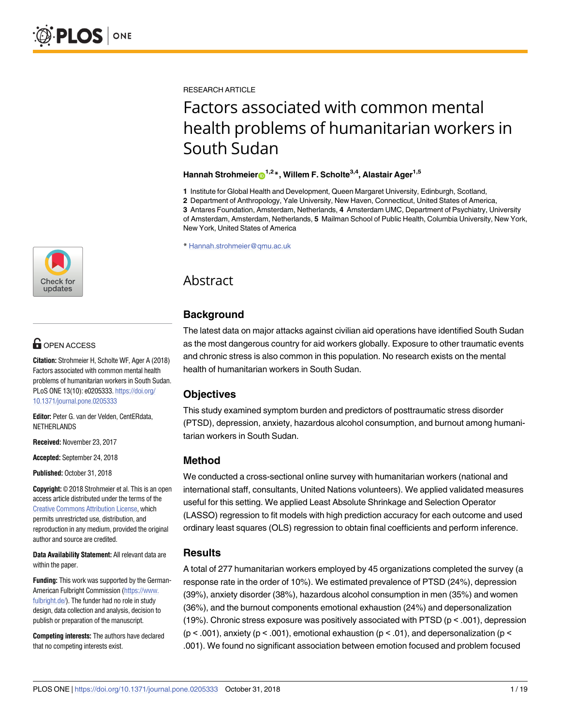RESEARCH ARTICLE

# Factors associated with common mental health problems of humanitarian workers in South Sudan

## **Hannah Strohmeier**<sup>1,2</sup><sup>\*</sup>, Willem F. Scholte<sup>3,4</sup>, Alastair Ager<sup>1,5</sup>

**1** Institute for Global Health and Development, Queen Margaret University, Edinburgh, Scotland,

**2** Department of Anthropology, Yale University, New Haven, Connecticut, United States of America, **3** Antares Foundation, Amsterdam, Netherlands, **4** Amsterdam UMC, Department of Psychiatry, University of Amsterdam, Amsterdam, Netherlands, **5** Mailman School of Public Health, Columbia University, New York, New York, United States of America

\* Hannah.strohmeier@qmu.ac.uk

## Abstract

## **Background**

The latest data on major attacks against civilian aid operations have identified South Sudan as the most dangerous country for aid workers globally. Exposure to other traumatic events and chronic stress is also common in this population. No research exists on the mental health of humanitarian workers in South Sudan.

## **Objectives**

This study examined symptom burden and predictors of posttraumatic stress disorder (PTSD), depression, anxiety, hazardous alcohol consumption, and burnout among humanitarian workers in South Sudan.

## **Method**

We conducted a cross-sectional online survey with humanitarian workers (national and international staff, consultants, United Nations volunteers). We applied validated measures useful for this setting. We applied Least Absolute Shrinkage and Selection Operator (LASSO) regression to fit models with high prediction accuracy for each outcome and used ordinary least squares (OLS) regression to obtain final coefficients and perform inference.

## **Results**

A total of 277 humanitarian workers employed by 45 organizations completed the survey (a response rate in the order of 10%). We estimated prevalence of PTSD (24%), depression (39%), anxiety disorder (38%), hazardous alcohol consumption in men (35%) and women (36%), and the burnout components emotional exhaustion (24%) and depersonalization (19%). Chronic stress exposure was positively associated with PTSD ( $p < .001$ ), depression ( $p$  < .001), anxiety ( $p$  < .001), emotional exhaustion ( $p$  < .01), and depersonalization ( $p$  < .001). We found no significant association between emotion focused and problem focused



## **OPEN ACCESS**

**Citation:** Strohmeier H, Scholte WF, Ager A (2018) Factors associated with common mental health problems of humanitarian workers in South Sudan. PLoS ONE 13(10): e0205333. [https://doi.org/](https://doi.org/10.1371/journal.pone.0205333) [10.1371/journal.pone.0205333](https://doi.org/10.1371/journal.pone.0205333)

**Editor:** Peter G. van der Velden, CentERdata, NETHERLANDS

**Received:** November 23, 2017

**Accepted:** September 24, 2018

**Published:** October 31, 2018

**Copyright:** © 2018 Strohmeier et al. This is an open access article distributed under the terms of the Creative Commons [Attribution](http://creativecommons.org/licenses/by/4.0/) License, which permits unrestricted use, distribution, and reproduction in any medium, provided the original author and source are credited.

**Data Availability Statement:** All relevant data are within the paper.

**Funding:** This work was supported by the German-American Fulbright Commission [\(https://www.](https://www.fulbright.de/) [fulbright.de/\)](https://www.fulbright.de/). The funder had no role in study design, data collection and analysis, decision to publish or preparation of the manuscript.

**Competing interests:** The authors have declared that no competing interests exist.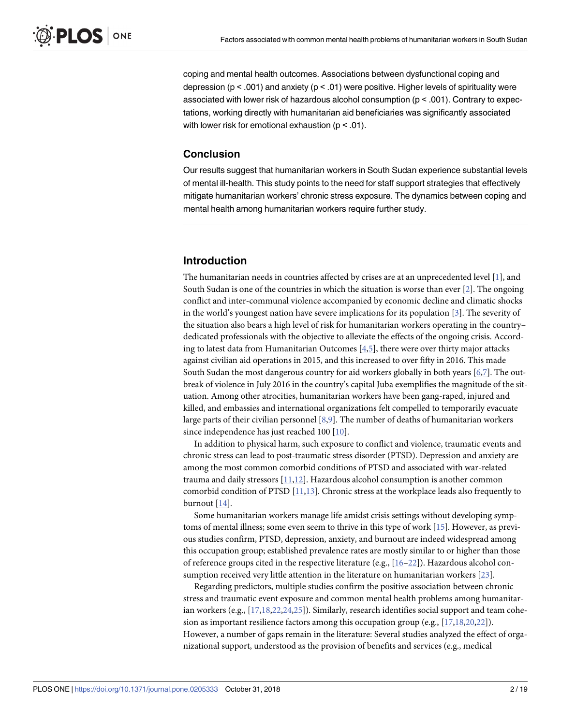<span id="page-1-0"></span>coping and mental health outcomes. Associations between dysfunctional coping and depression ( $p < .001$ ) and anxiety ( $p < .01$ ) were positive. Higher levels of spirituality were associated with lower risk of hazardous alcohol consumption (p < .001). Contrary to expectations, working directly with humanitarian aid beneficiaries was significantly associated with lower risk for emotional exhaustion (p < .01).

## **Conclusion**

Our results suggest that humanitarian workers in South Sudan experience substantial levels of mental ill-health. This study points to the need for staff support strategies that effectively mitigate humanitarian workers' chronic stress exposure. The dynamics between coping and mental health among humanitarian workers require further study.

## **Introduction**

The humanitarian needs in countries affected by crises are at an unprecedented level [[1](#page-14-0)], and South Sudan is one of the countries in which the situation is worse than ever  $[2]$  $[2]$ . The ongoing conflict and inter-communal violence accompanied by economic decline and climatic shocks in the world's youngest nation have severe implications for its population [\[3](#page-14-0)]. The severity of the situation also bears a high level of risk for humanitarian workers operating in the country– dedicated professionals with the objective to alleviate the effects of the ongoing crisis. According to latest data from Humanitarian Outcomes [\[4,5](#page-14-0)], there were over thirty major attacks against civilian aid operations in 2015, and this increased to over fifty in 2016. This made South Sudan the most dangerous country for aid workers globally in both years [\[6,7\]](#page-14-0). The outbreak of violence in July 2016 in the country's capital Juba exemplifies the magnitude of the situation. Among other atrocities, humanitarian workers have been gang-raped, injured and killed, and embassies and international organizations felt compelled to temporarily evacuate large parts of their civilian personnel [\[8,9\]](#page-14-0). The number of deaths of humanitarian workers since independence has just reached 100 [\[10\]](#page-14-0).

In addition to physical harm, such exposure to conflict and violence, traumatic events and chronic stress can lead to post-traumatic stress disorder (PTSD). Depression and anxiety are among the most common comorbid conditions of PTSD and associated with war-related trauma and daily stressors [[11,12\]](#page-14-0). Hazardous alcohol consumption is another common comorbid condition of PTSD [\[11,13\]](#page-14-0). Chronic stress at the workplace leads also frequently to burnout [\[14\]](#page-15-0).

Some humanitarian workers manage life amidst crisis settings without developing symptoms of mental illness; some even seem to thrive in this type of work [\[15\]](#page-15-0). However, as previous studies confirm, PTSD, depression, anxiety, and burnout are indeed widespread among this occupation group; established prevalence rates are mostly similar to or higher than those of reference groups cited in the respective literature (e.g., [\[16–22](#page-15-0)]). Hazardous alcohol consumption received very little attention in the literature on humanitarian workers [\[23\]](#page-15-0).

Regarding predictors, multiple studies confirm the positive association between chronic stress and traumatic event exposure and common mental health problems among humanitarian workers (e.g., [[17,18,22,24,25](#page-15-0)]). Similarly, research identifies social support and team cohesion as important resilience factors among this occupation group (e.g., [[17](#page-15-0),[18,20,22\]](#page-15-0)). However, a number of gaps remain in the literature: Several studies analyzed the effect of organizational support, understood as the provision of benefits and services (e.g., medical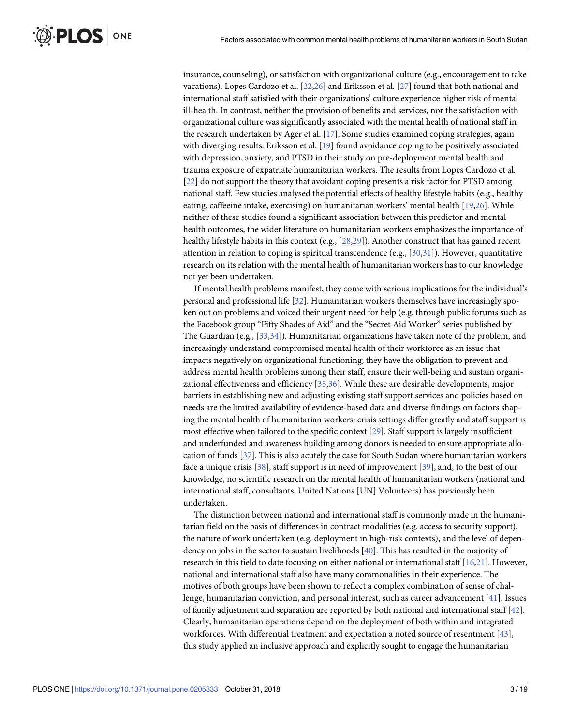<span id="page-2-0"></span>insurance, counseling), or satisfaction with organizational culture (e.g., encouragement to take vacations). Lopes Cardozo et al. [\[22,26\]](#page-15-0) and Eriksson et al. [[27](#page-15-0)] found that both national and international staff satisfied with their organizations' culture experience higher risk of mental ill-health. In contrast, neither the provision of benefits and services, nor the satisfaction with organizational culture was significantly associated with the mental health of national staff in the research undertaken by Ager et al. [\[17](#page-15-0)]. Some studies examined coping strategies, again with diverging results: Eriksson et al. [\[19\]](#page-15-0) found avoidance coping to be positively associated with depression, anxiety, and PTSD in their study on pre-deployment mental health and trauma exposure of expatriate humanitarian workers. The results from Lopes Cardozo et al. [\[22\]](#page-15-0) do not support the theory that avoidant coping presents a risk factor for PTSD among national staff. Few studies analysed the potential effects of healthy lifestyle habits (e.g., healthy eating, caffeeine intake, exercising) on humanitarian workers' mental health [\[19,26\]](#page-15-0). While neither of these studies found a significant association between this predictor and mental health outcomes, the wider literature on humanitarian workers emphasizes the importance of healthy lifestyle habits in this context (e.g., [\[28,29\]](#page-15-0)). Another construct that has gained recent attention in relation to coping is spiritual transcendence (e.g., [[30,31\]](#page-15-0)). However, quantitative research on its relation with the mental health of humanitarian workers has to our knowledge not yet been undertaken.

If mental health problems manifest, they come with serious implications for the individual's personal and professional life [[32](#page-15-0)]. Humanitarian workers themselves have increasingly spoken out on problems and voiced their urgent need for help (e.g. through public forums such as the Facebook group "Fifty Shades of Aid" and the "Secret Aid Worker" series published by The Guardian (e.g., [[33](#page-15-0),[34](#page-15-0)]). Humanitarian organizations have taken note of the problem, and increasingly understand compromised mental health of their workforce as an issue that impacts negatively on organizational functioning; they have the obligation to prevent and address mental health problems among their staff, ensure their well-being and sustain organizational effectiveness and efficiency [[35,36\]](#page-15-0). While these are desirable developments, major barriers in establishing new and adjusting existing staff support services and policies based on needs are the limited availability of evidence-based data and diverse findings on factors shaping the mental health of humanitarian workers: crisis settings differ greatly and staff support is most effective when tailored to the specific context [\[29\]](#page-15-0). Staff support is largely insufficient and underfunded and awareness building among donors is needed to ensure appropriate allocation of funds [\[37\]](#page-16-0). This is also acutely the case for South Sudan where humanitarian workers face a unique crisis [[38](#page-16-0)], staff support is in need of improvement [[39](#page-16-0)], and, to the best of our knowledge, no scientific research on the mental health of humanitarian workers (national and international staff, consultants, United Nations [UN] Volunteers) has previously been undertaken.

The distinction between national and international staff is commonly made in the humanitarian field on the basis of differences in contract modalities (e.g. access to security support), the nature of work undertaken (e.g. deployment in high-risk contexts), and the level of dependency on jobs in the sector to sustain livelihoods [[40](#page-16-0)]. This has resulted in the majority of research in this field to date focusing on either national or international staff [\[16,21\]](#page-15-0). However, national and international staff also have many commonalities in their experience. The motives of both groups have been shown to reflect a complex combination of sense of challenge, humanitarian conviction, and personal interest, such as career advancement [[41](#page-16-0)]. Issues of family adjustment and separation are reported by both national and international staff [[42](#page-16-0)]. Clearly, humanitarian operations depend on the deployment of both within and integrated workforces. With differential treatment and expectation a noted source of resentment [[43](#page-16-0)], this study applied an inclusive approach and explicitly sought to engage the humanitarian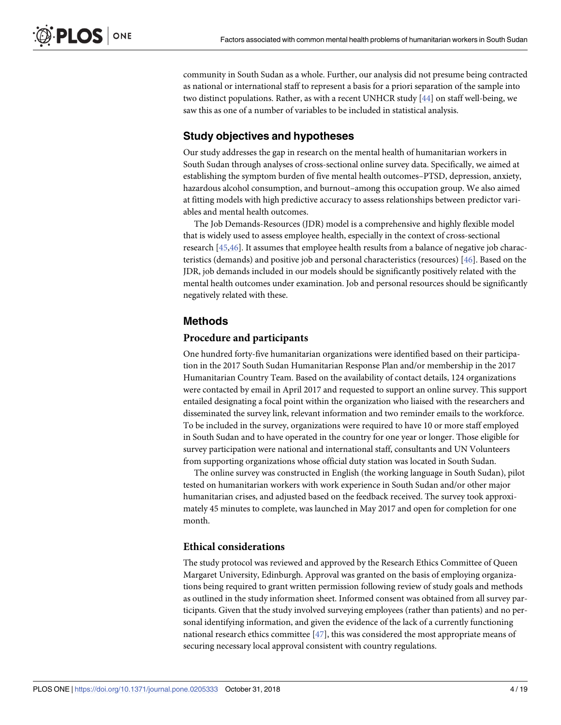<span id="page-3-0"></span>community in South Sudan as a whole. Further, our analysis did not presume being contracted as national or international staff to represent a basis for a priori separation of the sample into two distinct populations. Rather, as with a recent UNHCR study  $[44]$  $[44]$  $[44]$  on staff well-being, we saw this as one of a number of variables to be included in statistical analysis.

## **Study objectives and hypotheses**

Our study addresses the gap in research on the mental health of humanitarian workers in South Sudan through analyses of cross-sectional online survey data. Specifically, we aimed at establishing the symptom burden of five mental health outcomes–PTSD, depression, anxiety, hazardous alcohol consumption, and burnout–among this occupation group. We also aimed at fitting models with high predictive accuracy to assess relationships between predictor variables and mental health outcomes.

The Job Demands-Resources (JDR) model is a comprehensive and highly flexible model that is widely used to assess employee health, especially in the context of cross-sectional research [[45](#page-16-0),[46](#page-16-0)]. It assumes that employee health results from a balance of negative job characteristics (demands) and positive job and personal characteristics (resources) [\[46\]](#page-16-0). Based on the JDR, job demands included in our models should be significantly positively related with the mental health outcomes under examination. Job and personal resources should be significantly negatively related with these.

## **Methods**

## **Procedure and participants**

One hundred forty-five humanitarian organizations were identified based on their participation in the 2017 South Sudan Humanitarian Response Plan and/or membership in the 2017 Humanitarian Country Team. Based on the availability of contact details, 124 organizations were contacted by email in April 2017 and requested to support an online survey. This support entailed designating a focal point within the organization who liaised with the researchers and disseminated the survey link, relevant information and two reminder emails to the workforce. To be included in the survey, organizations were required to have 10 or more staff employed in South Sudan and to have operated in the country for one year or longer. Those eligible for survey participation were national and international staff, consultants and UN Volunteers from supporting organizations whose official duty station was located in South Sudan.

The online survey was constructed in English (the working language in South Sudan), pilot tested on humanitarian workers with work experience in South Sudan and/or other major humanitarian crises, and adjusted based on the feedback received. The survey took approximately 45 minutes to complete, was launched in May 2017 and open for completion for one month.

## **Ethical considerations**

The study protocol was reviewed and approved by the Research Ethics Committee of Queen Margaret University, Edinburgh. Approval was granted on the basis of employing organizations being required to grant written permission following review of study goals and methods as outlined in the study information sheet. Informed consent was obtained from all survey participants. Given that the study involved surveying employees (rather than patients) and no personal identifying information, and given the evidence of the lack of a currently functioning national research ethics committee [\[47\]](#page-16-0), this was considered the most appropriate means of securing necessary local approval consistent with country regulations.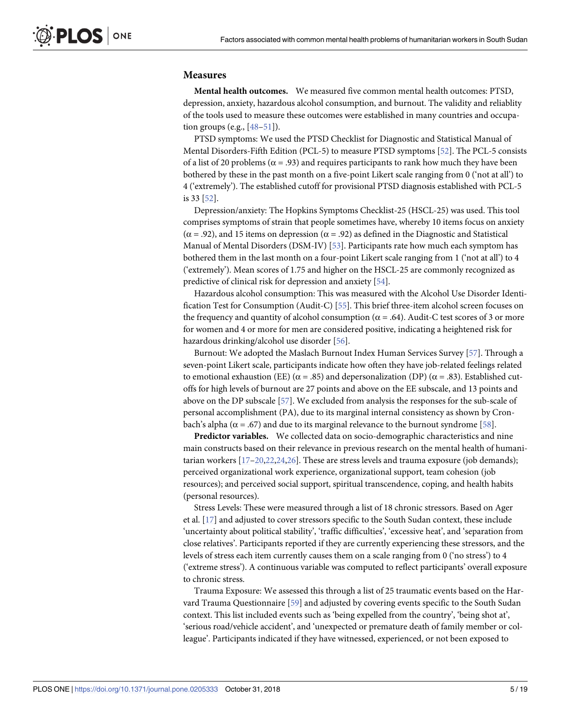## <span id="page-4-0"></span>**Measures**

**Mental health outcomes.** We measured five common mental health outcomes: PTSD, depression, anxiety, hazardous alcohol consumption, and burnout. The validity and reliablity of the tools used to measure these outcomes were established in many countries and occupation groups (e.g.,  $[48-51]$ ).

PTSD symptoms: We used the PTSD Checklist for Diagnostic and Statistical Manual of Mental Disorders-Fifth Edition (PCL-5) to measure PTSD symptoms [[52](#page-16-0)]. The PCL-5 consists of a list of 20 problems ( $\alpha$  = .93) and requires participants to rank how much they have been bothered by these in the past month on a five-point Likert scale ranging from 0 ('not at all') to 4 ('extremely'). The established cutoff for provisional PTSD diagnosis established with PCL-5 is 33 [[52](#page-16-0)].

Depression/anxiety: The Hopkins Symptoms Checklist-25 (HSCL-25) was used. This tool comprises symptoms of strain that people sometimes have, whereby 10 items focus on anxiety ( $\alpha$  = .92), and 15 items on depression ( $\alpha$  = .92) as defined in the Diagnostic and Statistical Manual of Mental Disorders (DSM-IV) [[53](#page-16-0)]. Participants rate how much each symptom has bothered them in the last month on a four-point Likert scale ranging from 1 ('not at all') to 4 ('extremely'). Mean scores of 1.75 and higher on the HSCL-25 are commonly recognized as predictive of clinical risk for depression and anxiety [[54](#page-16-0)].

Hazardous alcohol consumption: This was measured with the Alcohol Use Disorder Identification Test for Consumption (Audit-C) [[55](#page-16-0)]. This brief three-item alcohol screen focuses on the frequency and quantity of alcohol consumption ( $\alpha$  = .64). Audit-C test scores of 3 or more for women and 4 or more for men are considered positive, indicating a heightened risk for hazardous drinking/alcohol use disorder [\[56\]](#page-16-0).

Burnout: We adopted the Maslach Burnout Index Human Services Survey [[57](#page-16-0)]. Through a seven-point Likert scale, participants indicate how often they have job-related feelings related to emotional exhaustion (EE) ( $\alpha$  = .85) and depersonalization (DP) ( $\alpha$  = .83). Established cutoffs for high levels of burnout are 27 points and above on the EE subscale, and 13 points and above on the DP subscale [\[57\]](#page-16-0). We excluded from analysis the responses for the sub-scale of personal accomplishment (PA), due to its marginal internal consistency as shown by Cronbach's alpha ( $\alpha$  = .67) and due to its marginal relevance to the burnout syndrome [[58](#page-16-0)].

**Predictor variables.** We collected data on socio-demographic characteristics and nine main constructs based on their relevance in previous research on the mental health of humanitarian workers [[17–20,22](#page-15-0),[24,26\]](#page-15-0). These are stress levels and trauma exposure (job demands); perceived organizational work experience, organizational support, team cohesion (job resources); and perceived social support, spiritual transcendence, coping, and health habits (personal resources).

Stress Levels: These were measured through a list of 18 chronic stressors. Based on Ager et al. [\[17\]](#page-15-0) and adjusted to cover stressors specific to the South Sudan context, these include 'uncertainty about political stability', 'traffic difficulties', 'excessive heat', and 'separation from close relatives'. Participants reported if they are currently experiencing these stressors, and the levels of stress each item currently causes them on a scale ranging from 0 ('no stress') to 4 ('extreme stress'). A continuous variable was computed to reflect participants' overall exposure to chronic stress.

Trauma Exposure: We assessed this through a list of 25 traumatic events based on the Harvard Trauma Questionnaire [\[59\]](#page-16-0) and adjusted by covering events specific to the South Sudan context. This list included events such as 'being expelled from the country', 'being shot at', 'serious road/vehicle accident', and 'unexpected or premature death of family member or colleague'. Participants indicated if they have witnessed, experienced, or not been exposed to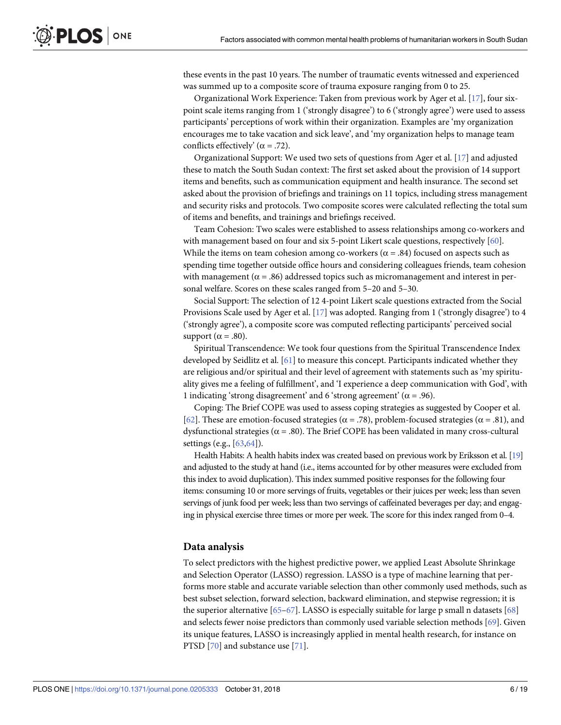<span id="page-5-0"></span>these events in the past 10 years. The number of traumatic events witnessed and experienced was summed up to a composite score of trauma exposure ranging from 0 to 25.

Organizational Work Experience: Taken from previous work by Ager et al. [[17](#page-15-0)], four sixpoint scale items ranging from 1 ('strongly disagree') to 6 ('strongly agree') were used to assess participants' perceptions of work within their organization. Examples are 'my organization encourages me to take vacation and sick leave', and 'my organization helps to manage team conflicts effectively' ( $\alpha$  = .72).

Organizational Support: We used two sets of questions from Ager et al. [\[17\]](#page-15-0) and adjusted these to match the South Sudan context: The first set asked about the provision of 14 support items and benefits, such as communication equipment and health insurance. The second set asked about the provision of briefings and trainings on 11 topics, including stress management and security risks and protocols. Two composite scores were calculated reflecting the total sum of items and benefits, and trainings and briefings received.

Team Cohesion: Two scales were established to assess relationships among co-workers and with management based on four and six 5-point Likert scale questions, respectively [\[60\]](#page-16-0). While the items on team cohesion among co-workers ( $\alpha$  = .84) focused on aspects such as spending time together outside office hours and considering colleagues friends, team cohesion with management ( $\alpha = .86$ ) addressed topics such as micromanagement and interest in personal welfare. Scores on these scales ranged from 5–20 and 5–30.

Social Support: The selection of 12 4-point Likert scale questions extracted from the Social Provisions Scale used by Ager et al. [[17](#page-15-0)] was adopted. Ranging from 1 ('strongly disagree') to 4 ('strongly agree'), a composite score was computed reflecting participants' perceived social support ( $\alpha$  = .80).

Spiritual Transcendence: We took four questions from the Spiritual Transcendence Index developed by Seidlitz et al. [\[61\]](#page-16-0) to measure this concept. Participants indicated whether they are religious and/or spiritual and their level of agreement with statements such as 'my spirituality gives me a feeling of fulfillment', and 'I experience a deep communication with God', with 1 indicating 'strong disagreement' and 6 'strong agreement' ( $\alpha$  = .96).

Coping: The Brief COPE was used to assess coping strategies as suggested by Cooper et al. [\[62\]](#page-17-0). These are emotion-focused strategies ( $\alpha$  = .78), problem-focused strategies ( $\alpha$  = .81), and dysfunctional strategies ( $\alpha$  = .80). The Brief COPE has been validated in many cross-cultural settings (e.g., [\[63,64](#page-17-0)]).

Health Habits: A health habits index was created based on previous work by Eriksson et al. [\[19\]](#page-15-0) and adjusted to the study at hand (i.e., items accounted for by other measures were excluded from this index to avoid duplication). This index summed positive responses for the following four items: consuming 10 or more servings of fruits, vegetables or their juices per week; less than seven servings of junk food per week; less than two servings of caffeinated beverages per day; and engaging in physical exercise three times or more per week. The score for this index ranged from 0–4.

## **Data analysis**

To select predictors with the highest predictive power, we applied Least Absolute Shrinkage and Selection Operator (LASSO) regression. LASSO is a type of machine learning that performs more stable and accurate variable selection than other commonly used methods, such as best subset selection, forward selection, backward elimination, and stepwise regression; it is the superior alternative [\[65](#page-17-0)–[67](#page-17-0)]. LASSO is especially suitable for large p small n datasets [[68](#page-17-0)] and selects fewer noise predictors than commonly used variable selection methods [[69](#page-17-0)]. Given its unique features, LASSO is increasingly applied in mental health research, for instance on PTSD [\[70\]](#page-17-0) and substance use [[71](#page-17-0)].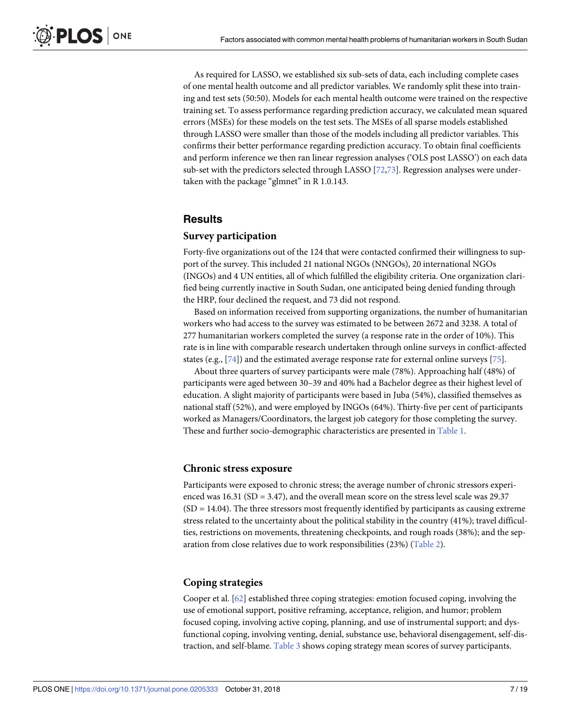<span id="page-6-0"></span>As required for LASSO, we established six sub-sets of data, each including complete cases of one mental health outcome and all predictor variables. We randomly split these into training and test sets (50:50). Models for each mental health outcome were trained on the respective training set. To assess performance regarding prediction accuracy, we calculated mean squared errors (MSEs) for these models on the test sets. The MSEs of all sparse models established through LASSO were smaller than those of the models including all predictor variables. This confirms their better performance regarding prediction accuracy. To obtain final coefficients and perform inference we then ran linear regression analyses ('OLS post LASSO') on each data sub-set with the predictors selected through LASSO [[72](#page-17-0),[73\]](#page-17-0). Regression analyses were undertaken with the package "glmnet" in R 1.0.143.

## **Results**

## **Survey participation**

Forty-five organizations out of the 124 that were contacted confirmed their willingness to support of the survey. This included 21 national NGOs (NNGOs), 20 international NGOs (INGOs) and 4 UN entities, all of which fulfilled the eligibility criteria. One organization clarified being currently inactive in South Sudan, one anticipated being denied funding through the HRP, four declined the request, and 73 did not respond.

Based on information received from supporting organizations, the number of humanitarian workers who had access to the survey was estimated to be between 2672 and 3238. A total of 277 humanitarian workers completed the survey (a response rate in the order of 10%). This rate is in line with comparable research undertaken through online surveys in conflict-affected states (e.g., [[74](#page-17-0)]) and the estimated average response rate for external online surveys [[75](#page-17-0)].

About three quarters of survey participants were male (78%). Approaching half (48%) of participants were aged between 30–39 and 40% had a Bachelor degree as their highest level of education. A slight majority of participants were based in Juba (54%), classified themselves as national staff (52%), and were employed by INGOs (64%). Thirty-five per cent of participants worked as Managers/Coordinators, the largest job category for those completing the survey. These and further socio-demographic characteristics are presented in [Table](#page-7-0) 1.

## **Chronic stress exposure**

Participants were exposed to chronic stress; the average number of chronic stressors experienced was  $16.31$  (SD = 3.47), and the overall mean score on the stress level scale was  $29.37$  $(SD = 14.04)$ . The three stressors most frequently identified by participants as causing extreme stress related to the uncertainty about the political stability in the country (41%); travel difficulties, restrictions on movements, threatening checkpoints, and rough roads (38%); and the separation from close relatives due to work responsibilities (23%) [\(Table](#page-9-0) 2).

## **Coping strategies**

Cooper et al. [\[62\]](#page-17-0) established three coping strategies: emotion focused coping, involving the use of emotional support, positive reframing, acceptance, religion, and humor; problem focused coping, involving active coping, planning, and use of instrumental support; and dysfunctional coping, involving venting, denial, substance use, behavioral disengagement, self-distraction, and self-blame. [Table](#page-9-0) 3 shows coping strategy mean scores of survey participants.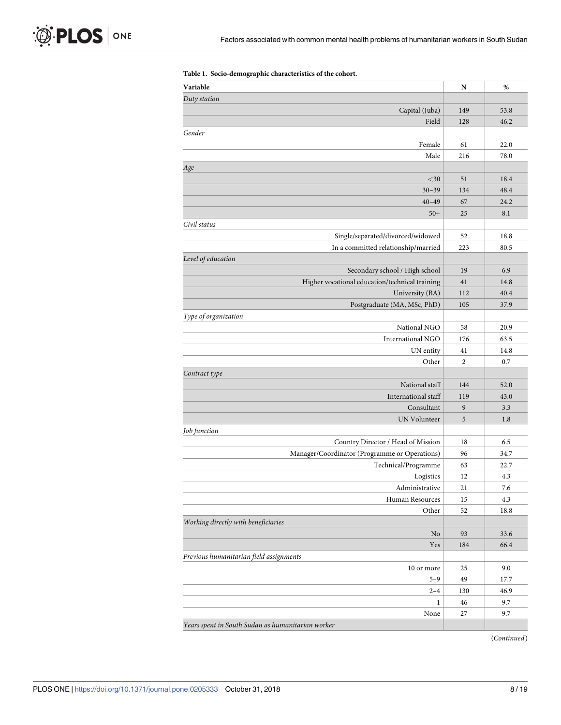<span id="page-7-0"></span>

| Variable                                          | N              | %    |
|---------------------------------------------------|----------------|------|
| Duty station                                      |                |      |
| Capital (Juba)                                    | 149            | 53.8 |
| Field                                             | 128            | 46.2 |
| Gender                                            |                |      |
| Female                                            | 61             | 22.0 |
| Male                                              | 216            | 78.0 |
| Age                                               |                |      |
| $<$ 30                                            | 51             | 18.4 |
| $30 - 39$                                         | 134            | 48.4 |
| $40 - 49$                                         | 67             | 24.2 |
| $50+$                                             | 25             | 8.1  |
| Civil status                                      |                |      |
| Single/separated/divorced/widowed                 | 52             | 18.8 |
| In a committed relationship/married               | 223            | 80.5 |
| Level of education                                |                |      |
| Secondary school / High school                    | 19             | 6.9  |
| Higher vocational education/technical training    | 41             | 14.8 |
| University (BA)                                   | 112            | 40.4 |
| Postgraduate (MA, MSc, PhD)                       | 105            | 37.9 |
| Type of organization                              |                |      |
| National NGO                                      | 58             | 20.9 |
| International NGO                                 | 176            | 63.5 |
| UN entity                                         | 41             | 14.8 |
| Other                                             | $\overline{2}$ | 0.7  |
| Contract type                                     |                |      |
| National staff                                    | 144            | 52.0 |
| International staff                               | 119            | 43.0 |
| Consultant                                        | 9              | 3.3  |
| UN Volunteer                                      | 5              | 1.8  |
| Job function                                      |                |      |
| Country Director / Head of Mission                | 18             | 6.5  |
| Manager/Coordinator (Programme or Operations)     | 96             | 34.7 |
| Technical/Programme                               | 63             | 22.7 |
| Logistics                                         | 12             | 4.3  |
| Administrative                                    | 21             | 7.6  |
| Human Resources                                   | 15             | 4.3  |
| Other                                             | 52             | 18.8 |
| Working directly with beneficiaries               |                |      |
| No                                                | 93             | 33.6 |
| Yes                                               | 184            | 66.4 |
| Previous humanitarian field assignments           |                |      |
| 10 or more                                        | 25             | 9.0  |
| $5 - 9$                                           | 49             | 17.7 |
| $2 - 4$                                           | 130            | 46.9 |
| $\mathbf{1}$                                      | 46             | 9.7  |
| None                                              | 27             | 9.7  |
| Years spent in South Sudan as humanitarian worker |                |      |

#### **[Table](#page-6-0) 1. Socio-demographic characteristics of the cohort.**

(*Continued*)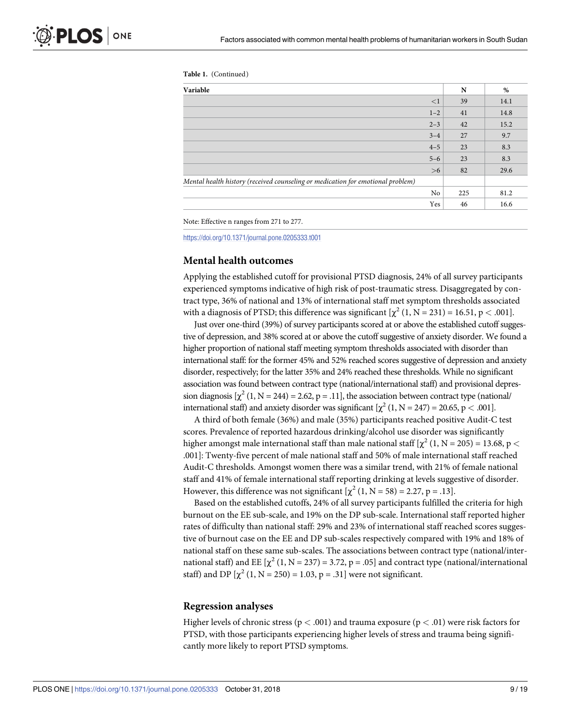| Table 1. | (Continued) |  |
|----------|-------------|--|
|----------|-------------|--|

| Variable                                                                        |          | N   | %    |
|---------------------------------------------------------------------------------|----------|-----|------|
|                                                                                 | $\leq$ 1 | 39  | 14.1 |
|                                                                                 | $1 - 2$  | 41  | 14.8 |
|                                                                                 | $2 - 3$  | 42  | 15.2 |
|                                                                                 | $3 - 4$  | 27  | 9.7  |
|                                                                                 | $4 - 5$  | 23  | 8.3  |
|                                                                                 | $5 - 6$  | 23  | 8.3  |
|                                                                                 | >6       | 82  | 29.6 |
| Mental health history (received counseling or medication for emotional problem) |          |     |      |
|                                                                                 | No       | 225 | 81.2 |
|                                                                                 | Yes      | 46  | 16.6 |

Note: Effective n ranges from 271 to 277.

<https://doi.org/10.1371/journal.pone.0205333.t001>

## **Mental health outcomes**

Applying the established cutoff for provisional PTSD diagnosis, 24% of all survey participants experienced symptoms indicative of high risk of post-traumatic stress. Disaggregated by contract type, 36% of national and 13% of international staff met symptom thresholds associated with a diagnosis of PTSD; this difference was significant  $[\chi^2 (1, N = 231) = 16.51, p < .001]$ .

Just over one-third (39%) of survey participants scored at or above the established cutoff suggestive of depression, and 38% scored at or above the cutoff suggestive of anxiety disorder. We found a higher proportion of national staff meeting symptom thresholds associated with disorder than international staff: for the former 45% and 52% reached scores suggestive of depression and anxiety disorder, respectively; for the latter 35% and 24% reached these thresholds. While no significant association was found between contract type (national/international staff) and provisional depression diagnosis  $[\chi^2 (1, N = 244) = 2.62, p = .11]$ , the association between contract type (national) international staff) and anxiety disorder was significant  $[\chi^2 (1, N = 247) = 20.65, p < .001]$ .

A third of both female (36%) and male (35%) participants reached positive Audit-C test scores. Prevalence of reported hazardous drinking/alcohol use disorder was significantly higher amongst male international staff than male national staff  $[\chi^2 (1, N = 205) = 13.68, p <$ .001]: Twenty-five percent of male national staff and 50% of male international staff reached Audit-C thresholds. Amongst women there was a similar trend, with 21% of female national staff and 41% of female international staff reporting drinking at levels suggestive of disorder. However, this difference was not significant  $[\chi^2 (1, N = 58) = 2.27, p = .13]$ .

Based on the established cutoffs, 24% of all survey participants fulfilled the criteria for high burnout on the EE sub-scale, and 19% on the DP sub-scale. International staff reported higher rates of difficulty than national staff: 29% and 23% of international staff reached scores suggestive of burnout case on the EE and DP sub-scales respectively compared with 19% and 18% of national staff on these same sub-scales. The associations between contract type (national/international staff) and EE  $[\chi^2 (1, N = 237) = 3.72, p = .05]$  and contract type (national/international staff) and DP  $[\chi^2 (1, N = 250) = 1.03, p = .31]$  were not significant.

## **Regression analyses**

Higher levels of chronic stress (p *<* .001) and trauma exposure (p *<* .01) were risk factors for PTSD, with those participants experiencing higher levels of stress and trauma being significantly more likely to report PTSD symptoms.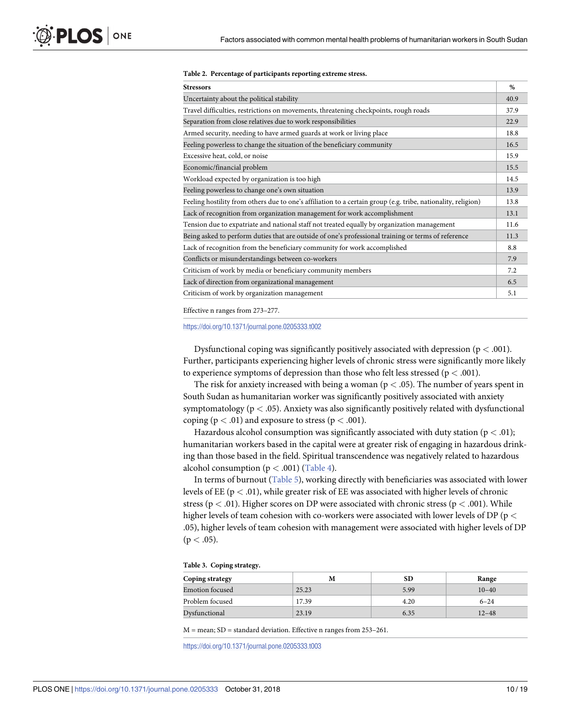<span id="page-9-0"></span>

|  |  |  | Table 2. Percentage of participants reporting extreme stress. |  |
|--|--|--|---------------------------------------------------------------|--|
|--|--|--|---------------------------------------------------------------|--|

| <b>Stressors</b>                                                                                              | $\%$ |
|---------------------------------------------------------------------------------------------------------------|------|
| Uncertainty about the political stability                                                                     | 40.9 |
| Travel difficulties, restrictions on movements, threatening checkpoints, rough roads                          | 37.9 |
| Separation from close relatives due to work responsibilities                                                  | 22.9 |
| Armed security, needing to have armed guards at work or living place                                          | 18.8 |
| Feeling powerless to change the situation of the beneficiary community                                        | 16.5 |
| Excessive heat, cold, or noise                                                                                | 15.9 |
| Economic/financial problem                                                                                    | 15.5 |
| Workload expected by organization is too high                                                                 | 14.5 |
| Feeling powerless to change one's own situation                                                               | 13.9 |
| Feeling hostility from others due to one's affiliation to a certain group (e.g. tribe, nationality, religion) | 13.8 |
| Lack of recognition from organization management for work accomplishment                                      | 13.1 |
| Tension due to expatriate and national staff not treated equally by organization management                   | 11.6 |
| Being asked to perform duties that are outside of one's professional training or terms of reference           | 11.3 |
| Lack of recognition from the beneficiary community for work accomplished                                      | 8.8  |
| Conflicts or misunderstandings between co-workers                                                             | 7.9  |
| Criticism of work by media or beneficiary community members                                                   | 7.2  |
| Lack of direction from organizational management                                                              | 6.5  |
| Criticism of work by organization management                                                                  | 5.1  |

Effective n ranges from 273–277.

<https://doi.org/10.1371/journal.pone.0205333.t002>

Dysfunctional coping was significantly positively associated with depression (p *<* .001). Further, participants experiencing higher levels of chronic stress were significantly more likely to experience symptoms of depression than those who felt less stressed (p *<* .001).

The risk for anxiety increased with being a woman (p *<* .05). The number of years spent in South Sudan as humanitarian worker was significantly positively associated with anxiety symptomatology (p *<* .05). Anxiety was also significantly positively related with dysfunctional coping ( $p < .01$ ) and exposure to stress ( $p < .001$ ).

Hazardous alcohol consumption was significantly associated with duty station (p *<* .01); humanitarian workers based in the capital were at greater risk of engaging in hazardous drinking than those based in the field. Spiritual transcendence was negatively related to hazardous alcohol consumption (p *<* .001) ([Table](#page-10-0) 4).

In terms of burnout ([Table](#page-11-0) 5), working directly with beneficiaries was associated with lower levels of EE (p *<* .01), while greater risk of EE was associated with higher levels of chronic stress (p *<* .01). Higher scores on DP were associated with chronic stress (p *<* .001). While higher levels of team cohesion with co-workers were associated with lower levels of DP (p *<* .05), higher levels of team cohesion with management were associated with higher levels of DP  $(p < .05)$ .

#### **[Table](#page-6-0) 3. Coping strategy.**

| <b>Coping strategy</b> | M     | SD   | Range     |
|------------------------|-------|------|-----------|
| <b>Emotion</b> focused | 25.23 | 5.99 | $10 - 40$ |
| Problem focused        | 17.39 | 4.20 | $6 - 24$  |
| Dysfunctional          | 23.19 | 6.35 | $12 - 48$ |

M = mean; SD = standard deviation. Effective n ranges from 253–261.

<https://doi.org/10.1371/journal.pone.0205333.t003>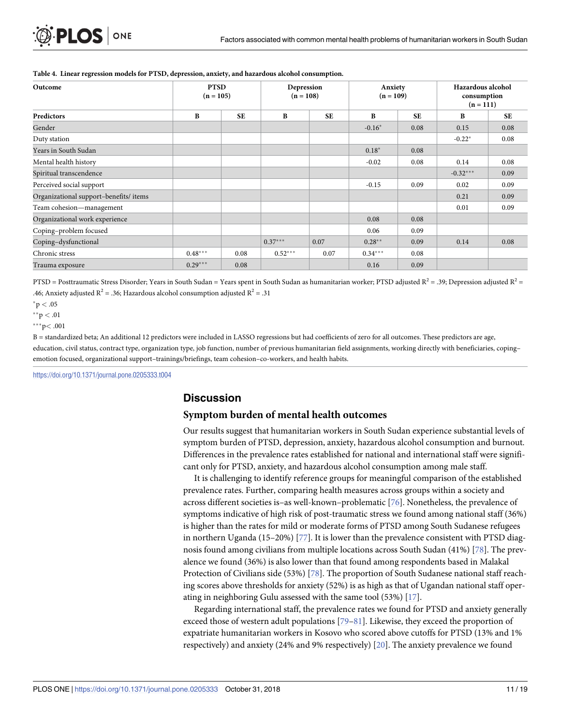| Outcome                               | <b>PTSD</b><br>$(n = 105)$ |           | Depression<br>$(n = 108)$ |           | Anxiety<br>$(n = 109)$ |           | Hazardous alcohol<br>consumption<br>$(n = 111)$ |           |
|---------------------------------------|----------------------------|-----------|---------------------------|-----------|------------------------|-----------|-------------------------------------------------|-----------|
| Predictors                            | $\bf{B}$                   | <b>SE</b> | B                         | <b>SE</b> | B                      | <b>SE</b> | $\bf{B}$                                        | <b>SE</b> |
| Gender                                |                            |           |                           |           | $-0.16*$               | 0.08      | 0.15                                            | 0.08      |
| Duty station                          |                            |           |                           |           |                        |           | $-0.22*$                                        | 0.08      |
| Years in South Sudan                  |                            |           |                           |           | $0.18*$                | 0.08      |                                                 |           |
| Mental health history                 |                            |           |                           |           | $-0.02$                | 0.08      | 0.14                                            | 0.08      |
| Spiritual transcendence               |                            |           |                           |           |                        |           | $-0.32***$                                      | 0.09      |
| Perceived social support              |                            |           |                           |           | $-0.15$                | 0.09      | 0.02                                            | 0.09      |
| Organizational support-benefits/items |                            |           |                           |           |                        |           | 0.21                                            | 0.09      |
| Team cohesion—management              |                            |           |                           |           |                        |           | 0.01                                            | 0.09      |
| Organizational work experience        |                            |           |                           |           | 0.08                   | 0.08      |                                                 |           |
| Coping-problem focused                |                            |           |                           |           | 0.06                   | 0.09      |                                                 |           |
| Coping-dysfunctional                  |                            |           | $0.37***$                 | 0.07      | $0.28**$               | 0.09      | 0.14                                            | 0.08      |
| Chronic stress                        | $0.48***$                  | 0.08      | $0.52***$                 | 0.07      | $0.34***$              | 0.08      |                                                 |           |
| Trauma exposure                       | $0.29***$                  | 0.08      |                           |           | 0.16                   | 0.09      |                                                 |           |

#### <span id="page-10-0"></span>**[Table](#page-9-0) 4. Linear regression models for PTSD, depression, anxiety, and hazardous alcohol consumption.**

PTSD = Posttraumatic Stress Disorder; Years in South Sudan = Years spent in South Sudan as humanitarian worker; PTSD adjusted  $R^2$  = .39; Depression adjusted  $R^2$  = .46; Anxiety adjusted  $R^2$  = .36; Hazardous alcohol consumption adjusted  $R^2$  = .31

 $*$ p  $< .05$ 

 $*$ <sup>\*</sup> $p < .01$ 

 $***p<.001$ 

B = standardized beta; An additional 12 predictors were included in LASSO regressions but had coefficients of zero for all outcomes. These predictors are age, education, civil status, contract type, organization type, job function, number of previous humanitarian field assignments, working directly with beneficiaries, copingemotion focused, organizational support–trainings/briefings, team cohesion–co-workers, and health habits.

<https://doi.org/10.1371/journal.pone.0205333.t004>

## **Discussion**

## **Symptom burden of mental health outcomes**

Our results suggest that humanitarian workers in South Sudan experience substantial levels of symptom burden of PTSD, depression, anxiety, hazardous alcohol consumption and burnout. Differences in the prevalence rates established for national and international staff were significant only for PTSD, anxiety, and hazardous alcohol consumption among male staff.

It is challenging to identify reference groups for meaningful comparison of the established prevalence rates. Further, comparing health measures across groups within a society and across different societies is–as well-known–problematic [[76](#page-17-0)]. Nonetheless, the prevalence of symptoms indicative of high risk of post-traumatic stress we found among national staff (36%) is higher than the rates for mild or moderate forms of PTSD among South Sudanese refugees in northern Uganda (15–20%) [\[77\]](#page-17-0). It is lower than the prevalence consistent with PTSD diagnosis found among civilians from multiple locations across South Sudan (41%) [[78](#page-17-0)]. The prevalence we found (36%) is also lower than that found among respondents based in Malakal Protection of Civilians side (53%) [\[78\]](#page-17-0). The proportion of South Sudanese national staff reaching scores above thresholds for anxiety (52%) is as high as that of Ugandan national staff operating in neighboring Gulu assessed with the same tool (53%) [\[17\]](#page-15-0).

Regarding international staff, the prevalence rates we found for PTSD and anxiety generally exceed those of western adult populations [\[79–81\]](#page-17-0). Likewise, they exceed the proportion of expatriate humanitarian workers in Kosovo who scored above cutoffs for PTSD (13% and 1% respectively) and anxiety (24% and 9% respectively) [[20](#page-15-0)]. The anxiety prevalence we found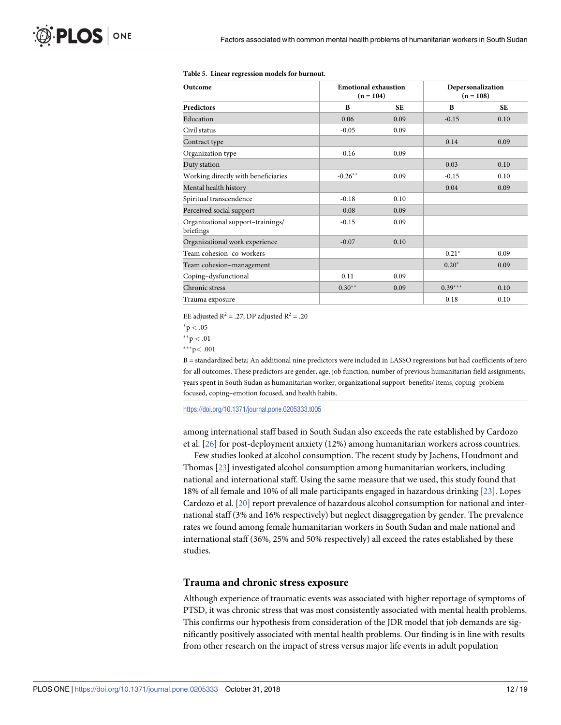| <b>Emotional exhaustion</b><br>Outcome<br>$(n = 104)$ |           | Depersonalization<br>$(n = 108)$ |           |           |
|-------------------------------------------------------|-----------|----------------------------------|-----------|-----------|
| <b>Predictors</b>                                     | B         | <b>SE</b>                        | B         | <b>SE</b> |
| Education                                             | 0.06      | 0.09                             | $-0.15$   | 0.10      |
| Civil status                                          | $-0.05$   | 0.09                             |           |           |
| Contract type                                         |           |                                  | 0.14      | 0.09      |
| Organization type                                     | $-0.16$   | 0.09                             |           |           |
| Duty station                                          |           |                                  | 0.03      | 0.10      |
| Working directly with beneficiaries                   | $-0.26**$ | 0.09                             | $-0.15$   | 0.10      |
| Mental health history                                 |           |                                  | 0.04      | 0.09      |
| Spiritual transcendence                               | $-0.18$   | 0.10                             |           |           |
| Perceived social support                              | $-0.08$   | 0.09                             |           |           |
| Organizational support-trainings/<br>briefings        | $-0.15$   | 0.09                             |           |           |
| Organizational work experience                        | $-0.07$   | 0.10                             |           |           |
| Team cohesion-co-workers                              |           |                                  | $-0.21*$  | 0.09      |
| Team cohesion-management                              |           |                                  | $0.20*$   | 0.09      |
| Coping-dysfunctional                                  | 0.11      | 0.09                             |           |           |
| Chronic stress                                        | $0.30**$  | 0.09                             | $0.39***$ | 0.10      |
| Trauma exposure                                       |           |                                  | 0.18      | 0.10      |

#### <span id="page-11-0"></span>**[Table](#page-9-0) 5. Linear regression models for burnout.**

EE adjusted  $R^2$  = .27; DP adjusted  $R^2$  = .20

 $*$ p  $< .05$ 

 $*$ <sup>\*</sup> $p < .01$ 

���p*<* .001

B = standardized beta; An additional nine predictors were included in LASSO regressions but had coefficients of zero for all outcomes. These predictors are gender, age, job function, number of previous humanitarian field assignments, years spent in South Sudan as humanitarian worker, organizational support–benefits/ items, coping–problem focused, coping–emotion focused, and health habits.

<https://doi.org/10.1371/journal.pone.0205333.t005>

among international staff based in South Sudan also exceeds the rate established by Cardozo et al. [\[26\]](#page-15-0) for post-deployment anxiety (12%) among humanitarian workers across countries.

Few studies looked at alcohol consumption. The recent study by Jachens, Houdmont and Thomas [\[23\]](#page-15-0) investigated alcohol consumption among humanitarian workers, including national and international staff. Using the same measure that we used, this study found that 18% of all female and 10% of all male participants engaged in hazardous drinking [[23](#page-15-0)]. Lopes Cardozo et al. [\[20\]](#page-15-0) report prevalence of hazardous alcohol consumption for national and international staff (3% and 16% respectively) but neglect disaggregation by gender. The prevalence rates we found among female humanitarian workers in South Sudan and male national and international staff (36%, 25% and 50% respectively) all exceed the rates established by these studies.

#### **Trauma and chronic stress exposure**

Although experience of traumatic events was associated with higher reportage of symptoms of PTSD, it was chronic stress that was most consistently associated with mental health problems. This confirms our hypothesis from consideration of the JDR model that job demands are significantly positively associated with mental health problems. Our finding is in line with results from other research on the impact of stress versus major life events in adult population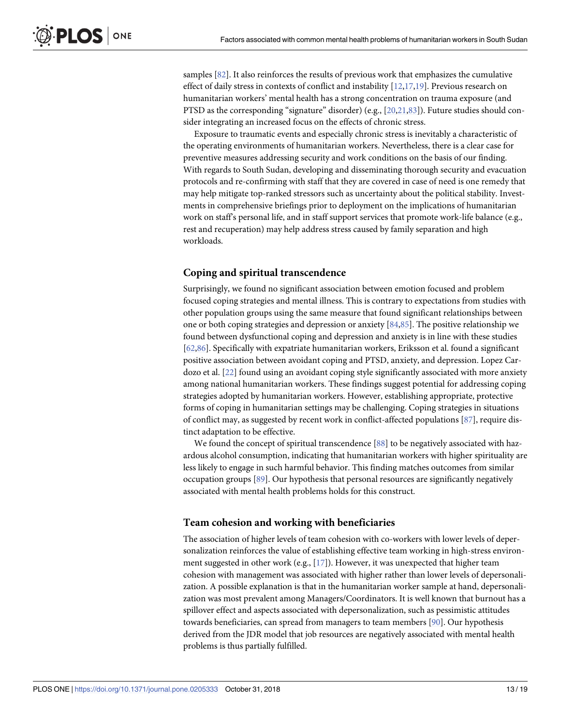<span id="page-12-0"></span>samples [\[82\]](#page-17-0). It also reinforces the results of previous work that emphasizes the cumulative effect of daily stress in contexts of conflict and instability [[12](#page-14-0),[17,19\]](#page-15-0). Previous research on humanitarian workers' mental health has a strong concentration on trauma exposure (and PTSD as the corresponding "signature" disorder) (e.g., [\[20,21,](#page-15-0)[83](#page-17-0)]). Future studies should consider integrating an increased focus on the effects of chronic stress.

Exposure to traumatic events and especially chronic stress is inevitably a characteristic of the operating environments of humanitarian workers. Nevertheless, there is a clear case for preventive measures addressing security and work conditions on the basis of our finding. With regards to South Sudan, developing and disseminating thorough security and evacuation protocols and re-confirming with staff that they are covered in case of need is one remedy that may help mitigate top-ranked stressors such as uncertainty about the political stability. Investments in comprehensive briefings prior to deployment on the implications of humanitarian work on staff's personal life, and in staff support services that promote work-life balance (e.g., rest and recuperation) may help address stress caused by family separation and high workloads.

## **Coping and spiritual transcendence**

Surprisingly, we found no significant association between emotion focused and problem focused coping strategies and mental illness. This is contrary to expectations from studies with other population groups using the same measure that found significant relationships between one or both coping strategies and depression or anxiety [\[84,](#page-17-0)[85\]](#page-18-0). The positive relationship we found between dysfunctional coping and depression and anxiety is in line with these studies [\[62](#page-17-0)[,86\]](#page-18-0). Specifically with expatriate humanitarian workers, Eriksson et al. found a significant positive association between avoidant coping and PTSD, anxiety, and depression. Lopez Cardozo et al. [[22](#page-15-0)] found using an avoidant coping style significantly associated with more anxiety among national humanitarian workers. These findings suggest potential for addressing coping strategies adopted by humanitarian workers. However, establishing appropriate, protective forms of coping in humanitarian settings may be challenging. Coping strategies in situations of conflict may, as suggested by recent work in conflict-affected populations [[87](#page-18-0)], require distinct adaptation to be effective.

We found the concept of spiritual transcendence [\[88](#page-18-0)] to be negatively associated with hazardous alcohol consumption, indicating that humanitarian workers with higher spirituality are less likely to engage in such harmful behavior. This finding matches outcomes from similar occupation groups [[89](#page-18-0)]. Our hypothesis that personal resources are significantly negatively associated with mental health problems holds for this construct.

## **Team cohesion and working with beneficiaries**

The association of higher levels of team cohesion with co-workers with lower levels of depersonalization reinforces the value of establishing effective team working in high-stress environment suggested in other work (e.g.,  $[17]$ ). However, it was unexpected that higher team cohesion with management was associated with higher rather than lower levels of depersonalization. A possible explanation is that in the humanitarian worker sample at hand, depersonalization was most prevalent among Managers/Coordinators. It is well known that burnout has a spillover effect and aspects associated with depersonalization, such as pessimistic attitudes towards beneficiaries, can spread from managers to team members [\[90\]](#page-18-0). Our hypothesis derived from the JDR model that job resources are negatively associated with mental health problems is thus partially fulfilled.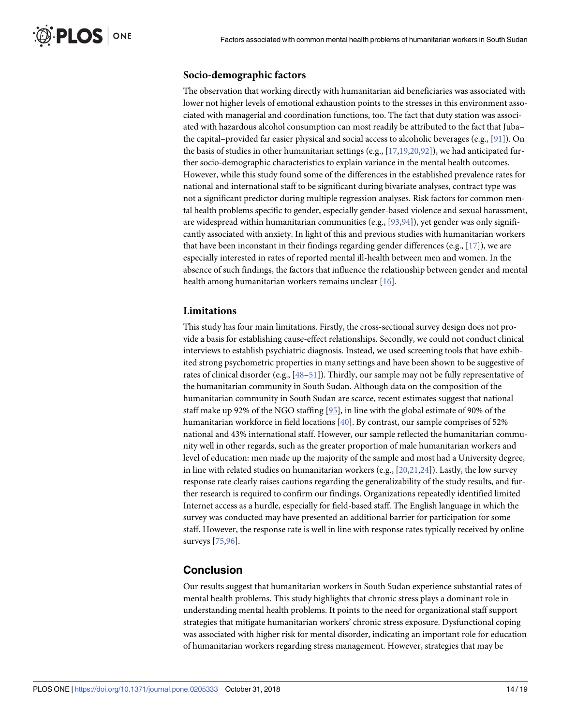## <span id="page-13-0"></span>**Socio-demographic factors**

The observation that working directly with humanitarian aid beneficiaries was associated with lower not higher levels of emotional exhaustion points to the stresses in this environment associated with managerial and coordination functions, too. The fact that duty station was associated with hazardous alcohol consumption can most readily be attributed to the fact that Juba– the capital–provided far easier physical and social access to alcoholic beverages (e.g., [\[91\]](#page-18-0)). On the basis of studies in other humanitarian settings (e.g., [\[17,19](#page-15-0),[20](#page-15-0)[,92\]](#page-18-0)), we had anticipated further socio-demographic characteristics to explain variance in the mental health outcomes. However, while this study found some of the differences in the established prevalence rates for national and international staff to be significant during bivariate analyses, contract type was not a significant predictor during multiple regression analyses. Risk factors for common mental health problems specific to gender, especially gender-based violence and sexual harassment, are widespread within humanitarian communities (e.g.,  $[93,94]$  $[93,94]$ ), yet gender was only significantly associated with anxiety. In light of this and previous studies with humanitarian workers that have been inconstant in their findings regarding gender differences (e.g.,  $[17]$  $[17]$  $[17]$ ), we are especially interested in rates of reported mental ill-health between men and women. In the absence of such findings, the factors that influence the relationship between gender and mental health among humanitarian workers remains unclear [[16](#page-15-0)].

## **Limitations**

This study has four main limitations. Firstly, the cross-sectional survey design does not provide a basis for establishing cause-effect relationships. Secondly, we could not conduct clinical interviews to establish psychiatric diagnosis. Instead, we used screening tools that have exhibited strong psychometric properties in many settings and have been shown to be suggestive of rates of clinical disorder (e.g., [48-51]). Thirdly, our sample may not be fully representative of the humanitarian community in South Sudan. Although data on the composition of the humanitarian community in South Sudan are scarce, recent estimates suggest that national staff make up 92% of the NGO staffing [[95](#page-18-0)], in line with the global estimate of 90% of the humanitarian workforce in field locations [[40\]](#page-16-0). By contrast, our sample comprises of 52% national and 43% international staff. However, our sample reflected the humanitarian community well in other regards, such as the greater proportion of male humanitarian workers and level of education: men made up the majority of the sample and most had a University degree, in line with related studies on humanitarian workers  $(e.g., [20,21,24])$  $(e.g., [20,21,24])$  $(e.g., [20,21,24])$ . Lastly, the low survey response rate clearly raises cautions regarding the generalizability of the study results, and further research is required to confirm our findings. Organizations repeatedly identified limited Internet access as a hurdle, especially for field-based staff. The English language in which the survey was conducted may have presented an additional barrier for participation for some staff. However, the response rate is well in line with response rates typically received by online surveys [\[75,](#page-17-0)[96](#page-18-0)].

## **Conclusion**

Our results suggest that humanitarian workers in South Sudan experience substantial rates of mental health problems. This study highlights that chronic stress plays a dominant role in understanding mental health problems. It points to the need for organizational staff support strategies that mitigate humanitarian workers' chronic stress exposure. Dysfunctional coping was associated with higher risk for mental disorder, indicating an important role for education of humanitarian workers regarding stress management. However, strategies that may be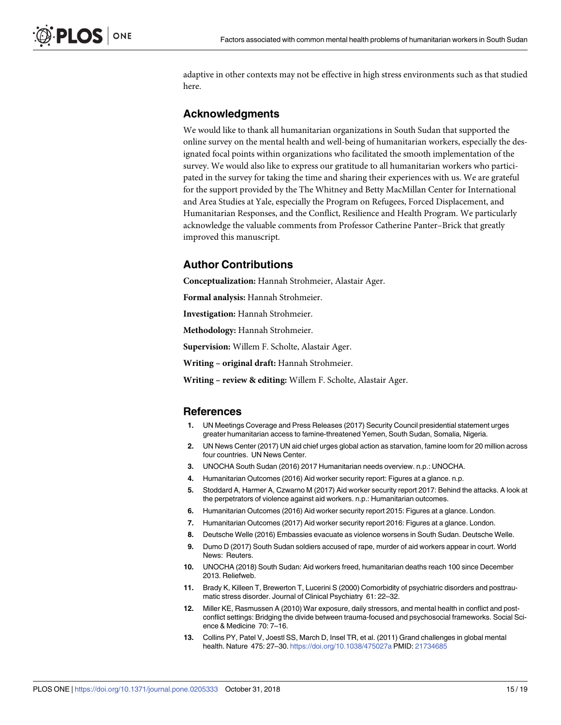<span id="page-14-0"></span>adaptive in other contexts may not be effective in high stress environments such as that studied here.

## **Acknowledgments**

We would like to thank all humanitarian organizations in South Sudan that supported the online survey on the mental health and well-being of humanitarian workers, especially the designated focal points within organizations who facilitated the smooth implementation of the survey. We would also like to express our gratitude to all humanitarian workers who participated in the survey for taking the time and sharing their experiences with us. We are grateful for the support provided by the The Whitney and Betty MacMillan Center for International and Area Studies at Yale, especially the Program on Refugees, Forced Displacement, and Humanitarian Responses, and the Conflict, Resilience and Health Program. We particularly acknowledge the valuable comments from Professor Catherine Panter–Brick that greatly improved this manuscript.

## **Author Contributions**

**Conceptualization:** Hannah Strohmeier, Alastair Ager.

**Formal analysis:** Hannah Strohmeier.

**Investigation:** Hannah Strohmeier.

**Methodology:** Hannah Strohmeier.

**Supervision:** Willem F. Scholte, Alastair Ager.

**Writing – original draft:** Hannah Strohmeier.

**Writing – review & editing:** Willem F. Scholte, Alastair Ager.

#### **References**

- **[1](#page-1-0).** UN Meetings Coverage and Press Releases (2017) Security Council presidential statement urges greater humanitarian access to famine-threatened Yemen, South Sudan, Somalia, Nigeria.
- **[2](#page-1-0).** UN News Center (2017) UN aid chief urges global action as starvation, famine loom for 20 million across four countries. UN News Center.
- **[3](#page-1-0).** UNOCHA South Sudan (2016) 2017 Humanitarian needs overview. n.p.: UNOCHA.
- **[4](#page-1-0).** Humanitarian Outcomes (2016) Aid worker security report: Figures at a glance. n.p.
- **[5](#page-1-0).** Stoddard A, Harmer A, Czwarno M (2017) Aid worker security report 2017: Behind the attacks. A look at the perpetrators of violence against aid workers. n.p.: Humanitarian outcomes.
- **[6](#page-1-0).** Humanitarian Outcomes (2016) Aid worker security report 2015: Figures at a glance. London.
- **[7](#page-1-0).** Humanitarian Outcomes (2017) Aid worker security report 2016: Figures at a glance. London.
- **[8](#page-1-0).** Deutsche Welle (2016) Embassies evacuate as violence worsens in South Sudan. Deutsche Welle.
- **[9](#page-1-0).** Dumo D (2017) South Sudan soldiers accused of rape, murder of aid workers appear in court. World News: Reuters.
- **[10](#page-1-0).** UNOCHA (2018) South Sudan: Aid workers freed, humanitarian deaths reach 100 since December 2013. Reliefweb.
- **[11](#page-1-0).** Brady K, Killeen T, Brewerton T, Lucerini S (2000) Comorbidity of psychiatric disorders and posttraumatic stress disorder. Journal of Clinical Psychiatry 61: 22–32.
- **[12](#page-1-0).** Miller KE, Rasmussen A (2010) War exposure, daily stressors, and mental health in conflict and postconflict settings: Bridging the divide between trauma-focused and psychosocial frameworks. Social Science & Medicine 70: 7–16.
- **[13](#page-1-0).** Collins PY, Patel V, Joestl SS, March D, Insel TR, et al. (2011) Grand challenges in global mental health. Nature 475: 27–30. <https://doi.org/10.1038/475027a> PMID: [21734685](http://www.ncbi.nlm.nih.gov/pubmed/21734685)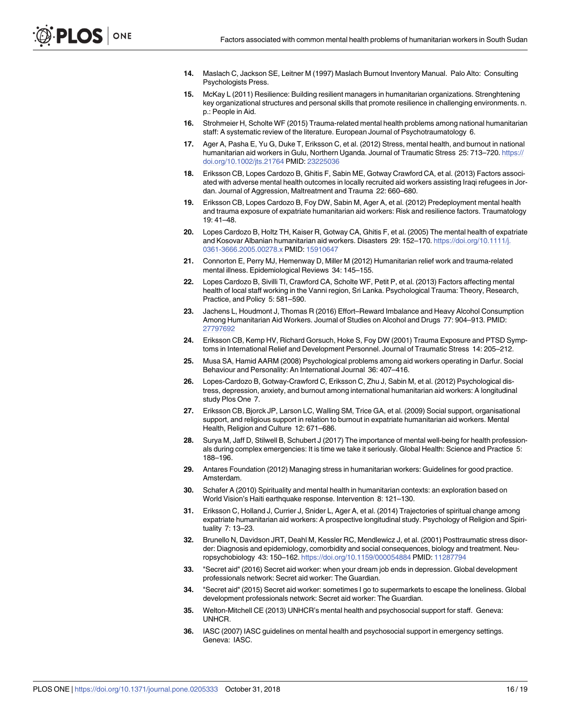- <span id="page-15-0"></span>**[14](#page-1-0).** Maslach C, Jackson SE, Leitner M (1997) Maslach Burnout Inventory Manual. Palo Alto: Consulting Psychologists Press.
- **[15](#page-1-0).** McKay L (2011) Resilience: Building resilient managers in humanitarian organizations. Strenghtening key organizational structures and personal skills that promote resilience in challenging environments. n. p.: People in Aid.
- **[16](#page-1-0).** Strohmeier H, Scholte WF (2015) Trauma-related mental health problems among national humanitarian staff: A systematic review of the literature. European Journal of Psychotraumatology 6.
- **[17](#page-1-0).** Ager A, Pasha E, Yu G, Duke T, Eriksson C, et al. (2012) Stress, mental health, and burnout in national humanitarian aid workers in Gulu, Northern Uganda. Journal of Traumatic Stress 25: 713–720. [https://](https://doi.org/10.1002/jts.21764) [doi.org/10.1002/jts.21764](https://doi.org/10.1002/jts.21764) PMID: [23225036](http://www.ncbi.nlm.nih.gov/pubmed/23225036)
- **[18](#page-1-0).** Eriksson CB, Lopes Cardozo B, Ghitis F, Sabin ME, Gotway Crawford CA, et al. (2013) Factors associated with adverse mental health outcomes in locally recruited aid workers assisting Iraqi refugees in Jordan. Journal of Aggression, Maltreatment and Trauma 22: 660–680.
- **[19](#page-2-0).** Eriksson CB, Lopes Cardozo B, Foy DW, Sabin M, Ager A, et al. (2012) Predeployment mental health and trauma exposure of expatriate humanitarian aid workers: Risk and resilience factors. Traumatology 19: 41–48.
- **[20](#page-1-0).** Lopes Cardozo B, Holtz TH, Kaiser R, Gotway CA, Ghitis F, et al. (2005) The mental health of expatriate and Kosovar Albanian humanitarian aid workers. Disasters 29: 152–170. [https://doi.org/10.1111/j.](https://doi.org/10.1111/j.0361-3666.2005.00278.x) [0361-3666.2005.00278.x](https://doi.org/10.1111/j.0361-3666.2005.00278.x) PMID: [15910647](http://www.ncbi.nlm.nih.gov/pubmed/15910647)
- **[21](#page-2-0).** Connorton E, Perry MJ, Hemenway D, Miller M (2012) Humanitarian relief work and trauma-related mental illness. Epidemiological Reviews 34: 145–155.
- **[22](#page-1-0).** Lopes Cardozo B, Sivilli TI, Crawford CA, Scholte WF, Petit P, et al. (2013) Factors affecting mental health of local staff working in the Vanni region, Sri Lanka. Psychological Trauma: Theory, Research, Practice, and Policy 5: 581–590.
- **[23](#page-1-0).** Jachens L, Houdmont J, Thomas R (2016) Effort–Reward Imbalance and Heavy Alcohol Consumption Among Humanitarian Aid Workers. Journal of Studies on Alcohol and Drugs 77: 904–913. PMID: [27797692](http://www.ncbi.nlm.nih.gov/pubmed/27797692)
- **[24](#page-1-0).** Eriksson CB, Kemp HV, Richard Gorsuch, Hoke S, Foy DW (2001) Trauma Exposure and PTSD Symptoms in International Relief and Development Personnel. Journal of Traumatic Stress 14: 205–212.
- **[25](#page-1-0).** Musa SA, Hamid AARM (2008) Psychological problems among aid workers operating in Darfur. Social Behaviour and Personality: An International Journal 36: 407–416.
- **[26](#page-2-0).** Lopes-Cardozo B, Gotway-Crawford C, Eriksson C, Zhu J, Sabin M, et al. (2012) Psychological distress, depression, anxiety, and burnout among international humanitarian aid workers: A longitudinal study Plos One 7.
- **[27](#page-2-0).** Eriksson CB, Bjorck JP, Larson LC, Walling SM, Trice GA, et al. (2009) Social support, organisational support, and religious support in relation to burnout in expatriate humanitarian aid workers. Mental Health, Religion and Culture 12: 671–686.
- **[28](#page-2-0).** Surya M, Jaff D, Stilwell B, Schubert J (2017) The importance of mental well-being for health professionals during complex emergencies: It is time we take it seriously. Global Health: Science and Practice 5: 188–196.
- **[29](#page-2-0).** Antares Foundation (2012) Managing stress in humanitarian workers: Guidelines for good practice. Amsterdam.
- **[30](#page-2-0).** Schafer A (2010) Spirituality and mental health in humanitarian contexts: an exploration based on World Vision's Haiti earthquake response. Intervention 8: 121–130.
- **[31](#page-2-0).** Eriksson C, Holland J, Currier J, Snider L, Ager A, et al. (2014) Trajectories of spiritual change among expatriate humanitarian aid workers: A prospective longitudinal study. Psychology of Religion and Spirituality 7: 13–23.
- **[32](#page-2-0).** Brunello N, Davidson JRT, Deahl M, Kessler RC, Mendlewicz J, et al. (2001) Posttraumatic stress disorder: Diagnosis and epidemiology, comorbidity and social consequences, biology and treatment. Neuropsychobiology 43: 150–162. <https://doi.org/10.1159/000054884> PMID: [11287794](http://www.ncbi.nlm.nih.gov/pubmed/11287794)
- **[33](#page-2-0).** "Secret aid" (2016) Secret aid worker: when your dream job ends in depression. Global development professionals network: Secret aid worker: The Guardian.
- **[34](#page-2-0).** "Secret aid" (2015) Secret aid worker: sometimes I go to supermarkets to escape the loneliness. Global development professionals network: Secret aid worker: The Guardian.
- **[35](#page-2-0).** Welton-Mitchell CE (2013) UNHCR's mental health and psychosocial support for staff. Geneva: UNHCR.
- **[36](#page-2-0).** IASC (2007) IASC guidelines on mental health and psychosocial support in emergency settings. Geneva: IASC.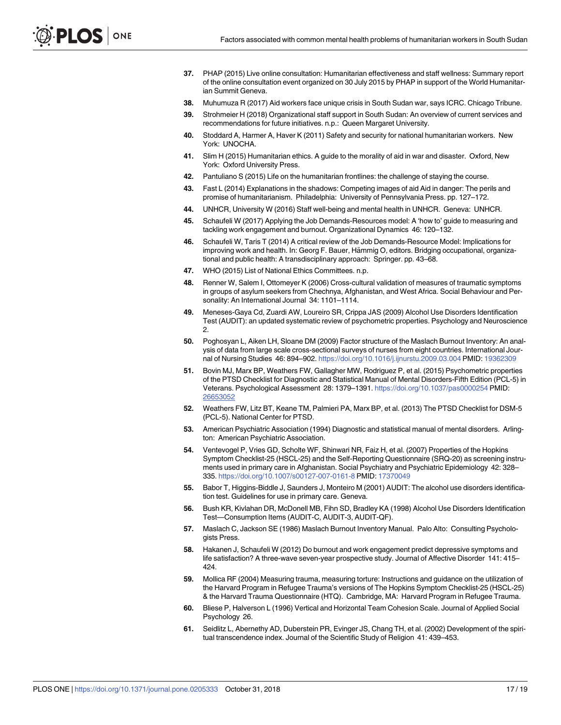- <span id="page-16-0"></span>**[37](#page-2-0).** PHAP (2015) Live online consultation: Humanitarian effectiveness and staff wellness: Summary report of the online consultation event organized on 30 July 2015 by PHAP in support of the World Humanitarian Summit Geneva.
- **[38](#page-2-0).** Muhumuza R (2017) Aid workers face unique crisis in South Sudan war, says ICRC. Chicago Tribune.
- **[39](#page-2-0).** Strohmeier H (2018) Organizational staff support in South Sudan: An overview of current services and recommendations for future initiatives. n.p.: Queen Margaret University.
- **[40](#page-2-0).** Stoddard A, Harmer A, Haver K (2011) Safety and security for national humanitarian workers. New York: UNOCHA.
- **[41](#page-2-0).** Slim H (2015) Humanitarian ethics. A guide to the morality of aid in war and disaster. Oxford, New York: Oxford University Press.
- **[42](#page-2-0).** Pantuliano S (2015) Life on the humanitarian frontlines: the challenge of staying the course.
- **[43](#page-2-0).** Fast L (2014) Explanations in the shadows: Competing images of aid Aid in danger: The perils and promise of humanitarianism. Philadelphia: University of Pennsylvania Press. pp. 127–172.
- **[44](#page-3-0).** UNHCR, University W (2016) Staff well-being and mental health in UNHCR. Geneva: UNHCR.
- **[45](#page-3-0).** Schaufeli W (2017) Applying the Job Demands-Resources model: A 'how to' guide to measuring and tackling work engagement and burnout. Organizational Dynamics 46: 120–132.
- **[46](#page-3-0).** Schaufeli W, Taris T (2014) A critical review of the Job Demands-Resource Model: Implications for improving work and health. In: Georg F. Bauer, Hämmig O, editors. Bridging occupational, organizational and public health: A transdisciplinary approach: Springer. pp. 43–68.
- **[47](#page-3-0).** WHO (2015) List of National Ethics Committees. n.p.
- **[48](#page-4-0).** Renner W, Salem I, Ottomeyer K (2006) Cross-cultural validation of measures of traumatic symptoms in groups of asylum seekers from Chechnya, Afghanistan, and West Africa. Social Behaviour and Personality: An International Journal 34: 1101–1114.
- **49.** Meneses-Gaya Cd, Zuardi AW, Loureiro SR, Crippa JAS (2009) Alcohol Use Disorders Identification Test (AUDIT): an updated systematic review of psychometric properties. Psychology and Neuroscience 2.
- **50.** Poghosyan L, Aiken LH, Sloane DM (2009) Factor structure of the Maslach Burnout Inventory: An analysis of data from large scale cross-sectional surveys of nurses from eight countries. International Journal of Nursing Studies 46: 894–902. <https://doi.org/10.1016/j.ijnurstu.2009.03.004> PMID: [19362309](http://www.ncbi.nlm.nih.gov/pubmed/19362309)
- **[51](#page-4-0).** Bovin MJ, Marx BP, Weathers FW, Gallagher MW, Rodriguez P, et al. (2015) Psychometric properties of the PTSD Checklist for Diagnostic and Statistical Manual of Mental Disorders-Fifth Edition (PCL-5) in Veterans. Psychological Assessment 28: 1379–1391. <https://doi.org/10.1037/pas0000254> PMID: [26653052](http://www.ncbi.nlm.nih.gov/pubmed/26653052)
- **[52](#page-4-0).** Weathers FW, Litz BT, Keane TM, Palmieri PA, Marx BP, et al. (2013) The PTSD Checklist for DSM-5 (PCL-5). National Center for PTSD.
- **[53](#page-4-0).** American Psychiatric Association (1994) Diagnostic and statistical manual of mental disorders. Arlington: American Psychiatric Association.
- **[54](#page-4-0).** Ventevogel P, Vries GD, Scholte WF, Shinwari NR, Faiz H, et al. (2007) Properties of the Hopkins Symptom Checklist-25 (HSCL-25) and the Self-Reporting Questionnaire (SRQ-20) as screening instruments used in primary care in Afghanistan. Social Psychiatry and Psychiatric Epidemiology 42: 328– 335. <https://doi.org/10.1007/s00127-007-0161-8> PMID: [17370049](http://www.ncbi.nlm.nih.gov/pubmed/17370049)
- **[55](#page-4-0).** Babor T, Higgins-Biddle J, Saunders J, Monteiro M (2001) AUDIT: The alcohol use disorders identification test. Guidelines for use in primary care. Geneva.
- **[56](#page-4-0).** Bush KR, Kivlahan DR, McDonell MB, Fihn SD, Bradley KA (1998) Alcohol Use Disorders Identification Test—Consumption Items (AUDIT-C, AUDIT-3, AUDIT-QF).
- **[57](#page-4-0).** Maslach C, Jackson SE (1986) Maslach Burnout Inventory Manual. Palo Alto: Consulting Psychologists Press.
- **[58](#page-4-0).** Hakanen J, Schaufeli W (2012) Do burnout and work engagement predict depressive symptoms and life satisfaction? A three-wave seven-year prospective study. Journal of Affective Disorder 141: 415– 424.
- **[59](#page-4-0).** Mollica RF (2004) Measuring trauma, measuring torture: Instructions and guidance on the utilization of the Harvard Program in Refugee Trauma's versions of The Hopkins Symptom Checklist-25 (HSCL-25) & the Harvard Trauma Questionnaire (HTQ). Cambridge, MA: Harvard Program in Refugee Trauma.
- **[60](#page-5-0).** Bliese P, Halverson L (1996) Vertical and Horizontal Team Cohesion Scale. Journal of Applied Social Psychology 26.
- **[61](#page-5-0).** Seidlitz L, Abernethy AD, Duberstein PR, Evinger JS, Chang TH, et al. (2002) Development of the spiritual transcendence index. Journal of the Scientific Study of Religion 41: 439–453.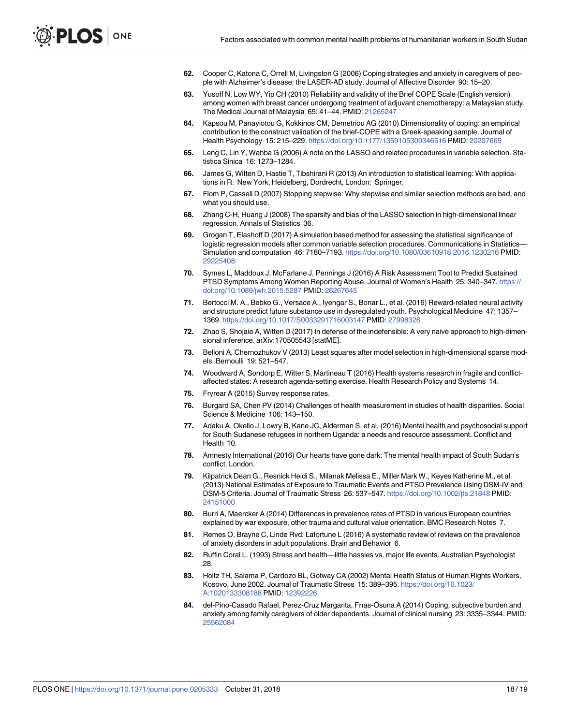- <span id="page-17-0"></span>**[62](#page-5-0).** Cooper C, Katona C, Orrell M, Livingston G (2006) Coping strategies and anxiety in caregivers of people with Alzheimer's disease: the LASER-AD study. Journal of Affective Disorder 90: 15–20.
- **[63](#page-5-0).** Yusoff N, Low WY, Yip CH (2010) Reliability and validity of the Brief COPE Scale (English version) among women with breast cancer undergoing treatment of adjuvant chemotherapy: a Malaysian study. The Medical Journal of Malaysia 65: 41–44. PMID: [21265247](http://www.ncbi.nlm.nih.gov/pubmed/21265247)
- **[64](#page-5-0).** Kapsou M, Panayiotou G, Kokkinos CM, Demetriou AG (2010) Dimensionality of coping: an empirical contribution to the construct validation of the brief-COPE with a Greek-speaking sample. Journal of Health Psychology 15: 215–229. <https://doi.org/10.1177/1359105309346516> PMID: [20207665](http://www.ncbi.nlm.nih.gov/pubmed/20207665)
- **[65](#page-5-0).** Leng C, Lin Y, Wahba G (2006) A note on the LASSO and related procedures in variable selection. Statistica Sinica 16: 1273–1284.
- **66.** James G, Witten D, Hastie T, Tibshirani R (2013) An introduction to statistical learning: With applications in R. New York, Heidelberg, Dordrecht, London: Springer.
- **[67](#page-5-0).** Flom P, Cassell D (2007) Stopping stepwise: Why stepwise and similar selection methods are bad, and what you should use.
- **[68](#page-5-0).** Zhang C-H, Huang J (2008) The sparsity and bias of the LASSO selection in high-dimensional linear regression. Annals of Statistics 36.
- **[69](#page-5-0).** Grogan T, Elashoff D (2017) A simulation based method for assessing the statistical significance of logistic regression models after common variable selection procedures. Communications in Statistics-Simulation and computation 46: 7180–7193. <https://doi.org/10.1080/03610918.2016.1230216> PMID: [29225408](http://www.ncbi.nlm.nih.gov/pubmed/29225408)
- **[70](#page-5-0).** Symes L, Maddoux J, McFarlane J, Pennings J (2016) A Risk Assessment Tool to Predict Sustained PTSD Symptoms Among Women Reporting Abuse. Journal of Women's Health 25: 340–347. [https://](https://doi.org/10.1089/jwh.2015.5287) [doi.org/10.1089/jwh.2015.5287](https://doi.org/10.1089/jwh.2015.5287) PMID: [26267645](http://www.ncbi.nlm.nih.gov/pubmed/26267645)
- **[71](#page-5-0).** Bertocci M. A., Bebko G., Versace A., Iyengar S., Bonar L., et al. (2016) Reward-related neural activity and structure predict future substance use in dysregulated youth. Psychological Medicine 47: 1357– 1369. <https://doi.org/10.1017/S0033291716003147> PMID: [27998326](http://www.ncbi.nlm.nih.gov/pubmed/27998326)
- **[72](#page-6-0).** Zhao S, Shojaie A, Witten D (2017) In defense of the indefensible: A very naive approach to high-dimensional inference. arXiv:170505543 [statME].
- **[73](#page-6-0).** Belloni A, Chernozhukov V (2013) Least squares after model selection in high-dimensional sparse models. Bernoulli 19: 521–547.
- **[74](#page-6-0).** Woodward A, Sondorp E, Witter S, Martineau T (2016) Health systems research in fragile and conflictaffected states: A research agenda-setting exercise. Health Research Policy and Systems 14.
- **[75](#page-6-0).** Fryrear A (2015) Survey response rates.
- **[76](#page-10-0).** Burgard SA, Chen PV (2014) Challenges of health measurement in studies of health disparities. Social Science & Medicine 106: 143–150.
- **[77](#page-10-0).** Adaku A, Okello J, Lowry B, Kane JC, Alderman S, et al. (2016) Mental health and psychosocial support for South Sudanese refugees in northern Uganda: a needs and resource assessment. Conflict and Health 10.
- **[78](#page-10-0).** Amnesty International (2016) Our hearts have gone dark: The mental health impact of South Sudan's conflict. London.
- **[79](#page-10-0).** Kilpatrick Dean G., Resnick Heidi S., Milanak Melissa E., Miller Mark W., Keyes Katherine M., et al. (2013) National Estimates of Exposure to Traumatic Events and PTSD Prevalence Using DSM-IV and DSM-5 Criteria. Journal of Traumatic Stress 26: 537–547. <https://doi.org/10.1002/jts.21848> PMID: [24151000](http://www.ncbi.nlm.nih.gov/pubmed/24151000)
- **80.** Burri A, Maercker A (2014) Differences in prevalence rates of PTSD in various European countries explained by war exposure, other trauma and cultural value orientation. BMC Research Notes 7.
- **[81](#page-10-0).** Remes O, Brayne C, Linde Rvd, Lafortune L (2016) A systematic review of reviews on the prevalence of anxiety disorders in adult populations. Brain and Behavior 6.
- **[82](#page-12-0).** Ruffin Coral L. (1993) Stress and health—little hassles vs. major life events. Australian Psychologist 28.
- **[83](#page-12-0).** Holtz TH, Salama P, Cardozo BL, Gotway CA (2002) Mental Health Status of Human Rights Workers, Kosovo, June 2002. Journal of Traumatic Stress 15: 389–395. [https://doi.org/10.1023/](https://doi.org/10.1023/A:1020133308188) [A:1020133308188](https://doi.org/10.1023/A:1020133308188) PMID: [12392226](http://www.ncbi.nlm.nih.gov/pubmed/12392226)
- **[84](#page-12-0).** del-Pino-Casado Rafael, Perez-Cruz Margarita, Frıas-Osuna A (2014) Coping, subjective burden and anxiety among family caregivers of older dependents. Journal of clinical nursing 23: 3335–3344. PMID: [25562084](http://www.ncbi.nlm.nih.gov/pubmed/25562084)